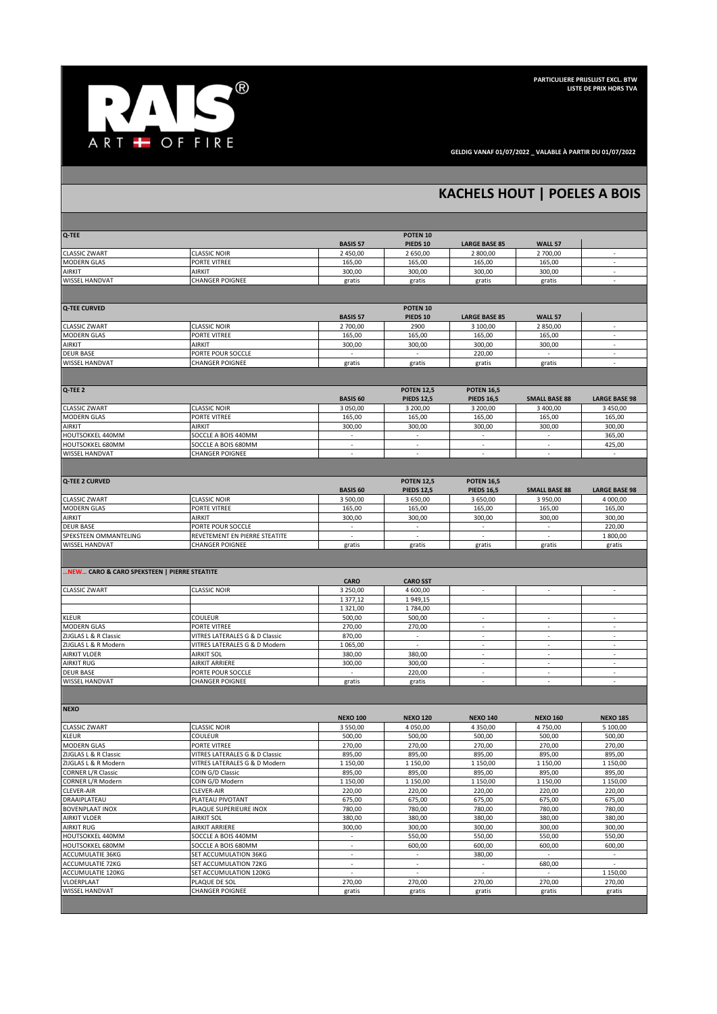

**GELDIG VANAF 01/07/2022 \_ VALABLE À PARTIR DU 01/07/2022** 

## **KACHELS HOUT | POELES A BOIS**

| Q-TEE                                       |                                                         |                                    | POTEN <sub>10</sub>                |                                |                          |                             |
|---------------------------------------------|---------------------------------------------------------|------------------------------------|------------------------------------|--------------------------------|--------------------------|-----------------------------|
|                                             |                                                         | <b>BASIS 57</b>                    | PIEDS <sub>10</sub>                | <b>LARGE BASE 85</b>           | <b>WALL 57</b>           |                             |
| <b>CLASSIC ZWART</b>                        | <b>CLASSIC NOIR</b>                                     | 2 450,00                           | 2 650,00                           | 2 800,00                       | 2700,00                  | $\overline{\phantom{a}}$    |
| <b>MODERN GLAS</b>                          | PORTE VITREE                                            | 165,00                             | 165,00                             | 165,00                         | 165,00                   | $\overline{\phantom{a}}$    |
| AIRKIT                                      | AIRKIT                                                  | 300,00                             | 300,00                             | 300,00                         | 300,00                   | ÷.                          |
| <b>WISSEL HANDVAT</b>                       | <b>CHANGER POIGNEE</b>                                  | gratis                             | gratis                             | gratis                         | gratis                   | ٠                           |
|                                             |                                                         |                                    |                                    |                                |                          |                             |
| <b>Q-TEE CURVED</b>                         |                                                         |                                    | POTEN <sub>10</sub>                |                                |                          |                             |
|                                             |                                                         | <b>BASIS 57</b>                    | PIEDS 10                           | <b>LARGE BASE 85</b>           | <b>WALL 57</b>           |                             |
| <b>CLASSIC ZWART</b><br>MODERN GLAS         | <b>CLASSIC NOIR</b><br>PORTE VITREE                     | 2 700,00<br>165,00                 | 2900<br>165,00                     | 3 100,00<br>165,00             | 2850,00<br>165,00        | $\overline{\phantom{a}}$    |
| AIRKIT                                      | AIRKIT                                                  | 300,00                             | 300,00                             | 300,00                         | 300,00                   | $\mathcal{L}_{\mathcal{A}}$ |
| <b>DEUR BASE</b>                            | PORTE POUR SOCCLE                                       | $\overline{\phantom{a}}$           | $\sim$                             | 220,00                         | $\sim$                   | $\overline{\phantom{a}}$    |
| WISSEL HANDVAT                              | <b>CHANGER POIGNEE</b>                                  | gratis                             | gratis                             | gratis                         | gratis                   | $\sim$                      |
|                                             |                                                         |                                    |                                    |                                |                          |                             |
| Q-TEE 2                                     |                                                         |                                    | <b>POTEN 12,5</b>                  | <b>POTEN 16,5</b>              |                          |                             |
|                                             |                                                         | <b>BASIS 60</b>                    | <b>PIEDS 12,5</b>                  | <b>PIEDS 16,5</b>              | <b>SMALL BASE 88</b>     | <b>LARGE BASE 98</b>        |
| <b>CLASSIC ZWART</b>                        | <b>CLASSIC NOIR</b>                                     | 3 050,00                           | 3 200,00                           | 3 200,00                       | 3 400,00                 | 3 450,00                    |
| <b>MODERN GLAS</b>                          | PORTE VITREE                                            | 165,00                             | 165,00                             | 165,00                         | 165,00                   | 165,00                      |
| AIRKIT<br>HOUTSOKKEL 440MM                  | AIRKIT<br>SOCCLE A BOIS 440MM                           | 300,00<br>$\overline{\phantom{a}}$ | 300,00<br>ä,                       | 300,00<br>÷,                   | 300,00                   | 300,00<br>365,00            |
| HOUTSOKKEL 680MM                            | SOCCLE A BOIS 680MM                                     | $\overline{\phantom{a}}$           | $\sim$                             | $\overline{\phantom{a}}$       | $\sim$                   | 425,00                      |
| <b>WISSEL HANDVAT</b>                       | CHANGER POIGNEE                                         |                                    |                                    |                                |                          |                             |
|                                             |                                                         |                                    |                                    |                                |                          |                             |
| Q-TEE 2 CURVED                              |                                                         |                                    | <b>POTEN 12,5</b>                  | <b>POTEN 16,5</b>              |                          |                             |
|                                             |                                                         | <b>BASIS 60</b>                    | <b>PIEDS 12,5</b>                  | <b>PIEDS 16,5</b>              | <b>SMALL BASE 88</b>     | <b>LARGE BASE 98</b>        |
| CLASSIC ZWART                               | <b>CLASSIC NOIR</b>                                     | 3 500,00                           | 3 650,00                           | 3 650,00                       | 3 950,00                 | 4 000,00                    |
| MODERN GLAS                                 | PORTE VITREE                                            | 165,00                             | 165,00                             | 165,00                         | 165,00                   | 165,00                      |
| AIRKIT                                      | AIRKIT                                                  | 300,00                             | 300,00                             | 300,00                         | 300,00                   | 300,00                      |
| <b>DEUR BASE</b>                            | PORTE POUR SOCCLE                                       | ٠                                  | $\overline{\phantom{a}}$           | $\overline{\phantom{a}}$       | ٠                        | 220,00                      |
| SPEKSTEEN OMMANTELING<br>WISSEL HANDVAT     | REVETEMENT EN PIERRE STEATITE<br><b>CHANGER POIGNEE</b> | $\overline{\phantom{a}}$<br>gratis | $\overline{\phantom{a}}$<br>gratis | $\sim$<br>gratis               | $\sim$                   | 1800,00                     |
|                                             |                                                         |                                    |                                    |                                | gratis                   | gratis                      |
|                                             |                                                         |                                    |                                    |                                |                          |                             |
| NEW CARO & CARO SPEKSTEEN   PIERRE STEATITE |                                                         | <b>CARO</b>                        | <b>CARO SST</b>                    |                                |                          |                             |
| <b>CLASSIC ZWART</b>                        | <b>CLASSIC NOIR</b>                                     | 3 250,00                           | 4 600,00                           | $\overline{\phantom{a}}$       | ÷,                       |                             |
|                                             |                                                         | 1 377,12                           | 1949,15                            |                                |                          |                             |
|                                             |                                                         | 1 3 2 1 , 0 0                      | 1784,00                            |                                |                          |                             |
| KLEUR                                       | COULEUR                                                 | 500,00                             | 500,00                             | $\overline{\phantom{a}}$       |                          | $\overline{\phantom{a}}$    |
| <b>MODERN GLAS</b>                          | PORTE VITREE                                            | 270,00                             | 270,00                             | $\overline{\phantom{a}}$       | ×.                       | ٠                           |
| ZIJGLAS L & R Classic                       | VITRES LATERALES G & D Classic                          | 870,00                             | $\overline{\phantom{a}}$           | $\overline{\phantom{a}}$       | $\sim$                   | $\overline{\phantom{a}}$    |
| ZIJGLAS L & R Modern<br>AIRKIT VLOER        | VITRES LATERALES G & D Modern<br><b>AIRKIT SOL</b>      | 1 065,00<br>380,00                 | 380,00                             | ÷,<br>$\overline{\phantom{a}}$ | $\sim$                   | $\overline{\phantom{a}}$    |
| AIRKIT RUG                                  | AIRKIT ARRIERE                                          | 300,00                             | 300,00                             | ÷,                             |                          |                             |
| <b>DEUR BASE</b>                            | PORTE POUR SOCCLE                                       | ×.                                 | 220,00                             | $\overline{\phantom{a}}$       | $\sim$                   | $\overline{\phantom{a}}$    |
| <b>WISSEL HANDVAT</b>                       | CHANGER POIGNEE                                         | gratis                             | gratis                             | $\overline{\phantom{a}}$       | $\overline{\phantom{a}}$ | $\overline{\phantom{a}}$    |
|                                             |                                                         |                                    |                                    |                                |                          |                             |
| <b>NEXO</b>                                 |                                                         |                                    |                                    |                                |                          |                             |
|                                             |                                                         | <b>NEXO 100</b>                    | <b>NEXO 120</b>                    | <b>NEXO 140</b>                | <b>NEXO 160</b>          | <b>NEXO 185</b>             |
| <b>CLASSIC ZWART</b>                        | <b>CLASSIC NOIR</b>                                     | 3 550,00                           | 4 050,00                           | 4 350,00                       | 4750,00                  | 5 100,00                    |
| KLEUR<br><b>MODERN GLAS</b>                 | COULEUR<br>PORTE VITREE                                 | 500,00<br>270,00                   | 500,00<br>270,00                   | 500,00<br>270,00               | 500,00<br>270,00         | 500,00<br>270,00            |
| ZIJGLAS L & R Classic                       | VITRES LATERALES G & D Classic                          | 895,00                             | 895,00                             | 895,00                         | 895,00                   | 895,00                      |
| ZIJGLAS L & R Modern                        | VITRES LATERALES G & D Modern                           | 1 150,00                           | 1 150,00                           | 1 150,00                       | 1 150,00                 | 1 150,00                    |
| CORNER L/R Classic                          | COIN G/D Classic                                        | 895,00                             | 895,00                             | 895,00                         | 895,00                   | 895,00                      |
| CORNER L/R Modern                           | COIN G/D Modern                                         | 1 150,00                           | 1 150,00                           | 1 150,00                       | 1 150,00                 | 1 150,00                    |
|                                             | CLEVER-AIR                                              | 220,00                             | 220,00                             | 220,00                         | 220,00                   | 220,00                      |
| CLEVER-AIR                                  |                                                         |                                    | 675,00                             | 675,00                         | 675,00                   | 675,00                      |
| DRAAIPLATEAU                                | PLATEAU PIVOTANT                                        | 675,00                             |                                    |                                |                          |                             |
| <b>BOVENPLAAT INOX</b>                      | PLAQUE SUPERIEURE INOX                                  | 780,00                             | 780,00                             | 780,00                         | 780,00                   | 780,00                      |
| <b>AIRKIT VLOER</b>                         | AIRKIT SOL                                              | 380,00                             | 380,00                             | 380,00                         | 380,00                   | 380,00                      |
| AIRKIT RUG                                  | AIRKIT ARRIERE                                          | 300,00                             | 300,00                             | 300,00                         | 300,00                   | 300,00                      |
| HOUTSOKKEL 440MM<br>HOUTSOKKEL 680MM        | SOCCLE A BOIS 440MM<br>SOCCLE A BOIS 680MM              | $\overline{\phantom{a}}$           | 550,00<br>600,00                   | 550,00<br>600,00               | 550,00<br>600,00         | 550,00<br>600,00            |
| ACCUMULATIE 36KG                            | SET ACCUMULATION 36KG                                   | $\frac{1}{2}$                      | $\overline{\phantom{a}}$           | 380,00                         |                          | $\overline{\phantom{a}}$    |
| ACCUMULATIE 72KG                            | SET ACCUMULATION 72KG                                   | $\overline{\phantom{a}}$           | $\overline{\phantom{a}}$           | $\overline{\phantom{a}}$       | 680,00                   | $\overline{\phantom{a}}$    |
| <b>ACCUMULATIE 120KG</b>                    | SET ACCUMULATION 120KG                                  |                                    |                                    |                                |                          | 1 150,00                    |
| VLOERPLAAT<br><b>WISSEL HANDVAT</b>         | PLAQUE DE SOL<br><b>CHANGER POIGNEE</b>                 | 270,00<br>gratis                   | 270,00<br>gratis                   | 270,00<br>gratis               | 270,00<br>gratis         | 270,00<br>gratis            |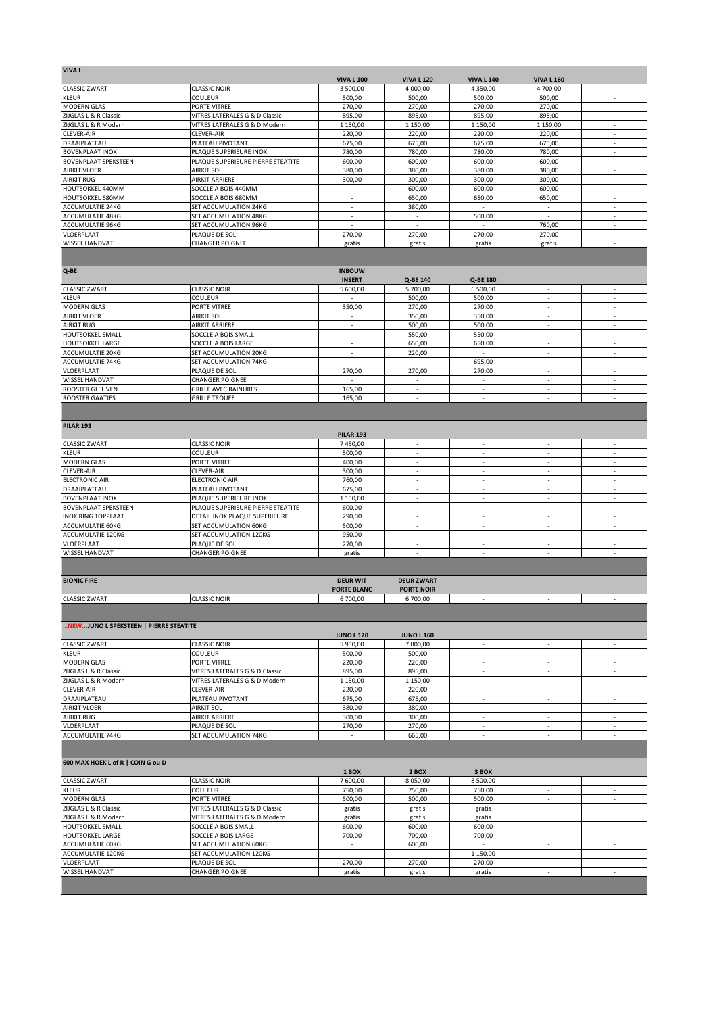| VIVA L                                   |                                                       |                                    |                              |                                                      |                                                      |                                                      |
|------------------------------------------|-------------------------------------------------------|------------------------------------|------------------------------|------------------------------------------------------|------------------------------------------------------|------------------------------------------------------|
| <b>CLASSIC ZWART</b>                     | <b>CLASSIC NOIR</b>                                   | <b>VIVA L 100</b><br>3 500,00      | <b>VIVA L120</b><br>4 000,00 | <b>VIVA L 140</b><br>4 3 5 0 , 0 0                   | <b>VIVA L 160</b><br>4700,00                         | $\overline{\phantom{a}}$                             |
| <b>KLEUR</b>                             | COULEUR                                               | 500,00                             | 500,00                       | 500,00                                               | 500,00                                               |                                                      |
| <b>MODERN GLAS</b>                       | PORTE VITREE                                          | 270,00                             | 270,00                       | 270,00                                               | 270,00                                               | $\overline{\phantom{a}}$                             |
| ZIJGLAS L & R Classic                    | VITRES LATERALES G & D Classic                        | 895,00                             | 895,00                       | 895,00                                               | 895,00                                               |                                                      |
| ZIJGLAS L & R Modern                     | VITRES LATERALES G & D Modern                         | 1 150,00                           | 1 150,00                     | 1 150,00                                             | 1 150,00                                             | $\overline{\phantom{a}}$                             |
| CLEVER-AIR                               | <b>CLEVER-AIR</b><br>PLATEAU PIVOTANT                 | 220,00                             | 220,00                       | 220,00                                               | 220,00                                               | $\overline{\phantom{a}}$                             |
| DRAAIPLATEAU<br>BOVENPLAAT INOX          | PLAQUE SUPERIEURE INOX                                | 675,00<br>780,00                   | 675,00<br>780,00             | 675,00<br>780,00                                     | 675,00<br>780,00                                     | $\overline{\phantom{a}}$                             |
| BOVENPLAAT SPEKSTEEN                     | PLAQUE SUPERIEURE PIERRE STEATITE                     | 600,00                             | 600,00                       | 600,00                                               | 600,00                                               | ÷.                                                   |
| <b>AIRKIT VLOER</b>                      | <b>AIRKIT SOL</b>                                     | 380,00                             | 380,00                       | 380,00                                               | 380,00                                               | $\overline{\phantom{a}}$                             |
| AIRKIT RUG                               | <b>AIRKIT ARRIERE</b>                                 | 300,00                             | 300,00                       | 300,00                                               | 300,00                                               | $\sim$                                               |
| HOUTSOKKEL 440MM                         | SOCCLE A BOIS 440MM                                   | $\overline{\phantom{a}}$           | 600,00                       | 600,00                                               | 600,00                                               | $\overline{\phantom{a}}$                             |
| HOUTSOKKEL 680MM                         | SOCCLE A BOIS 680MM                                   | $\overline{\phantom{a}}$           | 650,00                       | 650,00                                               | 650,00                                               | ÷.                                                   |
| ACCUMULATIE 24KG                         | SET ACCUMULATION 24KG                                 | $\sim$                             | 380,00                       | $\overline{\phantom{a}}$                             | $\sim$                                               | $\sim$                                               |
| <b>ACCUMULATIE 48KG</b>                  | SET ACCUMULATION 48KG                                 | ÷                                  | $\mathcal{L}$                | 500,00                                               | $\sim$                                               | ÷                                                    |
| ACCUMULATIE 96KG<br>VLOERPLAAT           | SET ACCUMULATION 96KG<br>PLAQUE DE SOL                | $\overline{\phantom{a}}$<br>270,00 | $\sim$<br>270,00             | $\overline{\phantom{a}}$<br>270,00                   | 760,00<br>270,00                                     | $\overline{\phantom{a}}$<br>$\sim$                   |
| <b>WISSEL HANDVAT</b>                    | <b>CHANGER POIGNEE</b>                                | gratis                             | gratis                       | gratis                                               | gratis                                               | $\overline{\phantom{a}}$                             |
|                                          |                                                       |                                    |                              |                                                      |                                                      |                                                      |
|                                          |                                                       |                                    |                              |                                                      |                                                      |                                                      |
| Q-BE                                     |                                                       | <b>INBOUW</b><br><b>INSERT</b>     |                              |                                                      |                                                      |                                                      |
| <b>CLASSIC ZWART</b>                     | <b>CLASSIC NOIR</b>                                   | 5 600,00                           | Q-BE 140<br>5 700,00         | Q-BE 180<br>6 500,00                                 |                                                      |                                                      |
| <b>KLEUR</b>                             | <b>COULEUR</b>                                        | $\sim$                             | 500,00                       | 500,00                                               | $\overline{\phantom{a}}$                             | $\overline{\phantom{a}}$                             |
| MODERN GLAS                              | PORTE VITREE                                          | 350,00                             | 270,00                       | 270,00                                               | $\overline{\phantom{a}}$                             | $\overline{\phantom{a}}$                             |
| <b>AIRKIT VLOER</b>                      | <b>AIRKIT SOL</b>                                     | ×.                                 | 350,00                       | 350,00                                               | ä,                                                   |                                                      |
| AIRKIT RUG                               | <b>AIRKIT ARRIERE</b>                                 | $\overline{\phantom{a}}$           | 500,00                       | 500,00                                               |                                                      |                                                      |
| HOUTSOKKEL SMALL                         | SOCCLE A BOIS SMALL                                   | $\overline{\phantom{a}}$           | 550,00                       | 550,00                                               | $\overline{\phantom{a}}$                             | $\overline{\phantom{a}}$                             |
| <b>HOUTSOKKEL LARGE</b>                  | SOCCLE A BOIS LARGE                                   |                                    | 650,00                       | 650,00                                               | $\overline{\phantom{a}}$                             |                                                      |
| <b>ACCUMULATIE 20KG</b>                  | SET ACCUMULATION 20KG                                 | $\overline{\phantom{a}}$           | 220,00                       | $\sim$                                               | $\sim$                                               | $\overline{\phantom{a}}$                             |
| ACCUMULATIE 74KG                         | SET ACCUMULATION 74KG                                 | $\overline{\phantom{a}}$           | $\sim$                       | 695,00                                               | $\overline{\phantom{a}}$                             | $\overline{\phantom{a}}$                             |
| VLOERPLAAT                               | PLAQUE DE SOL                                         | 270,00                             | 270,00                       | 270,00                                               | ÷                                                    | $\sim$                                               |
| <b>WISSEL HANDVAT</b><br>ROOSTER GLEUVEN | <b>CHANGER POIGNEE</b><br><b>GRILLE AVEC RAINURES</b> | $\overline{\phantom{a}}$<br>165,00 | $\sim$<br>$\sim$             | $\overline{\phantom{a}}$<br>$\sim$                   | $\overline{\phantom{a}}$<br>$\overline{\phantom{a}}$ | $\sim$<br>$\sim$                                     |
| <b>ROOSTER GAATJES</b>                   | <b>GRILLE TROUEE</b>                                  | 165,00                             | ÷                            | ÷,                                                   | $\sim$                                               | $\overline{\phantom{a}}$                             |
|                                          |                                                       |                                    |                              |                                                      |                                                      |                                                      |
|                                          |                                                       |                                    |                              |                                                      |                                                      |                                                      |
| <b>PILAR 193</b>                         |                                                       |                                    |                              |                                                      |                                                      |                                                      |
|                                          |                                                       | <b>PILAR 193</b>                   |                              |                                                      |                                                      |                                                      |
| <b>CLASSIC ZWART</b>                     | <b>CLASSIC NOIR</b>                                   | 7 450,00                           | $\sim$                       |                                                      | $\sim$                                               |                                                      |
| KLEUR<br>MODERN GLAS                     | COULEUR                                               | 500,00<br>400,00                   | ×.<br>×,                     | ٠<br>$\overline{\phantom{a}}$                        | ×.<br>×.                                             | $\overline{\phantom{a}}$<br>$\overline{\phantom{a}}$ |
| CLEVER-AIR                               | PORTE VITREE<br>CLEVER-AIR                            | 300,00                             | $\overline{\phantom{a}}$     | $\overline{\phantom{a}}$                             | $\sim$                                               | $\overline{\phantom{a}}$                             |
| <b>ELECTRONIC AIR</b>                    | <b>ELECTRONIC AIR</b>                                 | 760,00                             | $\overline{\phantom{a}}$     | ä,                                                   | $\overline{\phantom{a}}$                             |                                                      |
| DRAAIPLATEAU                             | PLATEAU PIVOTANT                                      | 675,00                             | $\sim$                       | $\overline{\phantom{a}}$                             | $\overline{\phantom{a}}$                             | $\overline{\phantom{a}}$                             |
| BOVENPLAAT INOX                          | PLAQUE SUPERIEURE INOX                                | 1 150,00                           | ä,                           |                                                      | $\overline{\phantom{a}}$                             |                                                      |
| BOVENPLAAT SPEKSTEEN                     | PLAQUE SUPERIEURE PIERRE STEATITE                     | 600,00                             | $\overline{\phantom{a}}$     | $\overline{\phantom{a}}$                             | $\overline{\phantom{a}}$                             | $\overline{\phantom{a}}$                             |
| <b>INOX RING TOPPLAAT</b>                | DETAIL INOX PLAQUE SUPERIEURE                         | 290,00                             | $\overline{\phantom{a}}$     | $\overline{\phantom{a}}$                             | $\overline{\phantom{a}}$                             | $\overline{\phantom{a}}$                             |
| ACCUMULATIE 60KG                         | SET ACCUMULATION 60KG                                 | 500,00                             | $\sim$                       | $\overline{\phantom{a}}$                             | $\sim$                                               | $\overline{\phantom{a}}$                             |
| ACCUMULATIE 120KG                        | SET ACCUMULATION 120KG                                | 950,00                             |                              |                                                      | ä,                                                   |                                                      |
| VLOERPLAAT<br><b>WISSEL HANDVAT</b>      | PLAQUE DE SOL<br><b>CHANGER POIGNEE</b>               | 270,00                             | $\sim$                       | $\overline{\phantom{a}}$                             | $\overline{\phantom{a}}$                             | $\overline{\phantom{a}}$                             |
|                                          |                                                       | gratis                             |                              |                                                      |                                                      |                                                      |
|                                          |                                                       |                                    |                              |                                                      |                                                      |                                                      |
| <b>BIONIC FIRE</b>                       |                                                       | <b>DEUR WIT</b>                    | <b>DEUR ZWART</b>            |                                                      |                                                      |                                                      |
| <b>CLASSIC ZWART</b>                     | <b>CLASSIC NOIR</b>                                   | <b>PORTE BLANC</b><br>6 700,00     | <b>PORTE NOIR</b>            | $\overline{\phantom{a}}$                             | $\sim$                                               | $\sim$                                               |
|                                          |                                                       |                                    | 6 700,00                     |                                                      |                                                      |                                                      |
|                                          |                                                       |                                    |                              |                                                      |                                                      |                                                      |
| NEW JUNO L SPEKSTEEN   PIERRE STEATITE   |                                                       |                                    |                              |                                                      |                                                      |                                                      |
|                                          |                                                       | <b>JUNO L 120</b>                  | <b>JUNO L 160</b>            |                                                      |                                                      |                                                      |
| <b>CLASSIC ZWART</b><br>KLEUR            | <b>CLASSIC NOIR</b><br>COULEUR                        | 5 950,00<br>500,00                 | 7 000,00<br>500,00           | $\overline{\phantom{a}}$<br>$\overline{\phantom{a}}$ | $\sim$<br>×.                                         | $\overline{\phantom{a}}$                             |
| MODERN GLAS                              | PORTE VITREE                                          | 220,00                             | 220,00                       | $\overline{\phantom{a}}$                             | $\sim$                                               | $\overline{\phantom{a}}$                             |
| ZIJGLAS L & R Classic                    | VITRES LATERALES G & D Classic                        | 895,00                             | 895,00                       | $\overline{\phantom{a}}$                             | ×.                                                   | $\overline{\phantom{a}}$                             |
| ZIJGLAS L & R Modern                     | VITRES LATERALES G & D Modern                         | 1 150,00                           | 1 150,00                     | $\overline{\phantom{a}}$                             | $\sim$                                               | $\overline{\phantom{a}}$                             |
| CLEVER-AIR                               | CLEVER-AIR                                            | 220,00                             | 220,00                       | $\overline{\phantom{a}}$                             | ٠                                                    |                                                      |
| DRAAIPLATEAU                             | PLATEAU PIVOTANT                                      | 675,00                             | 675,00                       | $\overline{\phantom{a}}$                             | ٠                                                    |                                                      |
| <b>AIRKIT VLOER</b>                      | <b>AIRKIT SOL</b>                                     | 380,00                             | 380,00                       |                                                      |                                                      |                                                      |
| AIRKIT RUG                               | AIRKIT ARRIERE                                        | 300,00                             | 300,00                       | $\overline{\phantom{a}}$                             | $\overline{\phantom{a}}$                             | $\overline{\phantom{a}}$                             |
| VLOERPLAAT<br>ACCUMULATIE 74KG           | PLAQUE DE SOL<br>SET ACCUMULATION 74KG                | 270,00<br>$\sim$                   | 270,00<br>665,00             | $\overline{\phantom{a}}$                             | $\overline{\phantom{a}}$                             | $\overline{\phantom{a}}$                             |
|                                          |                                                       |                                    |                              |                                                      |                                                      |                                                      |
|                                          |                                                       |                                    |                              |                                                      |                                                      |                                                      |
| 600 MAX HOEK L of R   COIN G ou D        |                                                       |                                    |                              |                                                      |                                                      |                                                      |
| <b>CLASSIC ZWART</b>                     | <b>CLASSIC NOIR</b>                                   | 1 BOX<br>7 600,00                  | 2 BOX<br>8 050,00            | 3 BOX<br>8 500,00                                    |                                                      |                                                      |
| KLEUR                                    | <b>COULEUR</b>                                        | 750,00                             | 750,00                       | 750,00                                               | $\sim$                                               | $\overline{\phantom{a}}$                             |
| MODERN GLAS                              | PORTE VITREE                                          | 500,00                             | 500,00                       | 500,00                                               | $\sim$                                               | $\overline{\phantom{a}}$                             |
| ZIJGLAS L & R Classic                    | VITRES LATERALES G & D Classic                        | gratis                             | gratis                       | gratis                                               |                                                      |                                                      |
| ZIJGLAS L & R Modern                     | VITRES LATERALES G & D Modern                         | gratis                             | gratis                       | gratis                                               |                                                      |                                                      |
| <b>HOUTSOKKEL SMALL</b>                  | SOCCLE A BOIS SMALL                                   | 600,00                             | 600,00                       | 600,00                                               | ×.                                                   | $\overline{\phantom{a}}$                             |
| HOUTSOKKEL LARGE                         | SOCCLE A BOIS LARGE                                   | 700,00                             | 700,00                       | 700,00                                               | $\sim$                                               | $\sim$                                               |
| ACCUMULATIE 60KG                         | SET ACCUMULATION 60KG                                 | $\sim$                             | 600,00                       | $\sim$                                               | ÷.                                                   | $\sim$                                               |
| <b>ACCUMULATIE 120KG</b>                 | SET ACCUMULATION 120KG                                | $\sim$                             | $\overline{\phantom{a}}$     | 1 150,00                                             | $\overline{\phantom{a}}$                             | $\overline{\phantom{a}}$                             |
| VLOERPLAAT                               | PLAQUE DE SOL                                         | 270,00                             | 270,00                       | 270,00                                               | ÷.                                                   | ÷.                                                   |
| WISSEL HANDVAT                           | <b>CHANGER POIGNEE</b>                                | gratis                             | gratis                       | gratis                                               | ٠                                                    | ٠                                                    |
|                                          |                                                       |                                    |                              |                                                      |                                                      |                                                      |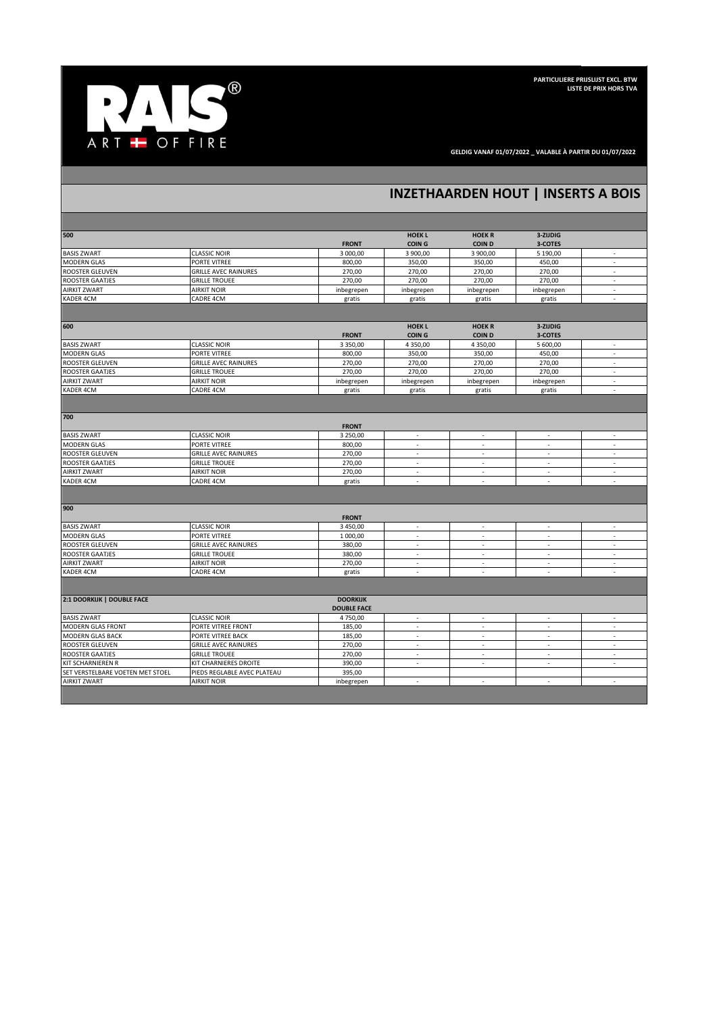

**GELDIG VANAF 01/07/2022 \_ VALABLE À PARTIR DU 01/07/2022** 

## **INZETHAARDEN HOUT | INSERTS A BOIS**

| 500                              |                             |                    | <b>HOEK L</b>            | <b>HOEKR</b>             | 3-ZIJDIG   |                                    |
|----------------------------------|-----------------------------|--------------------|--------------------------|--------------------------|------------|------------------------------------|
|                                  |                             | <b>FRONT</b>       | COIN <sub>G</sub>        | <b>COIND</b>             | 3-COTES    |                                    |
| <b>BASIS ZWART</b>               | <b>CLASSIC NOIR</b>         | 3 000,00           | 3 900,00                 | 3 900,00                 | 5 190,00   | $\overline{\phantom{a}}$           |
| <b>MODERN GLAS</b>               | PORTE VITREE                | 800,00             | 350,00                   | 350,00                   | 450,00     |                                    |
| ROOSTER GLEUVEN                  | <b>GRILLE AVEC RAINURES</b> | 270,00             | 270,00                   | 270,00                   | 270,00     | $\overline{\phantom{a}}$           |
| <b>ROOSTER GAATJES</b>           | <b>GRILLE TROUEE</b>        | 270,00             | 270,00                   | 270,00                   | 270,00     | $\overline{\phantom{a}}$           |
| <b>AIRKIT ZWART</b>              | <b>AIRKIT NOIR</b>          | inbegrepen         | inbegrepen               | inbegrepen               | inbegrepen | $\overline{\phantom{a}}$           |
| KADER 4CM                        | CADRE 4CM                   | gratis             | gratis                   | gratis                   | gratis     | $\overline{\phantom{a}}$           |
|                                  |                             |                    |                          |                          |            |                                    |
| 600                              |                             |                    | <b>HOEK L</b>            | <b>HOEKR</b>             | 3-ZIJDIG   |                                    |
|                                  |                             | <b>FRONT</b>       | COIN <sub>G</sub>        | <b>COIND</b>             | 3-COTES    |                                    |
| <b>BASIS ZWART</b>               | <b>CLASSIC NOIR</b>         | 3 3 5 0,00         | 4 350,00                 | 4 350,00                 | 5 600,00   | $\overline{\phantom{a}}$           |
| <b>MODERN GLAS</b>               | <b>PORTE VITREE</b>         | 800,00             | 350,00                   | 350,00                   | 450,00     |                                    |
| ROOSTER GLEUVEN                  | <b>GRILLE AVEC RAINURES</b> | 270,00             | 270,00                   | 270,00                   | 270,00     | $\overline{a}$                     |
| <b>ROOSTER GAATJES</b>           | <b>GRILLE TROUEE</b>        | 270,00             | 270,00                   | 270,00                   | 270,00     | $\overline{\phantom{a}}$           |
| <b>AIRKIT ZWART</b>              | <b>AIRKIT NOIR</b>          | inbegrepen         | inbegrepen               | inbegrepen               | inbegrepen | $\overline{a}$                     |
| KADER 4CM                        | CADRE 4CM                   | gratis             | gratis                   | gratis                   | gratis     | $\overline{\phantom{a}}$           |
|                                  |                             |                    |                          |                          |            |                                    |
| 700                              |                             |                    |                          |                          |            |                                    |
|                                  |                             | <b>FRONT</b>       |                          |                          |            |                                    |
| <b>BASIS ZWART</b>               | <b>CLASSIC NOIR</b>         | 3 250,00           | $\sim$                   | $\sim$                   | $\sim$     | $\sim$                             |
| MODERN GLAS                      | PORTE VITREE                | 800,00             |                          | ٠                        |            |                                    |
| ROOSTER GLEUVEN                  | <b>GRILLE AVEC RAINURES</b> | 270,00             | $\sim$                   | $\overline{\phantom{a}}$ | $\sim$     | $\overline{\phantom{a}}$           |
| <b>ROOSTER GAATJES</b>           | <b>GRILLE TROUEE</b>        | 270,00             | ×.                       | $\overline{\phantom{a}}$ | $\sim$     | $\overline{\phantom{a}}$           |
| <b>AIRKIT ZWART</b>              | <b>AIRKIT NOIR</b>          | 270,00             | ٠                        | ٠                        | ×.         | $\overline{\phantom{a}}$<br>$\sim$ |
| KADER 4CM                        | CADRE 4CM                   | gratis             | $\sim$                   | $\overline{\phantom{a}}$ | $\sim$     |                                    |
|                                  |                             |                    |                          |                          |            |                                    |
| 900                              |                             | <b>FRONT</b>       |                          |                          |            |                                    |
| <b>BASIS ZWART</b>               | <b>CLASSIC NOIR</b>         | 3 450,00           | $\sim$                   | $\sim$                   | $\sim$     | $\sim$                             |
| <b>MODERN GLAS</b>               | PORTE VITREE                | 1 000,00           | $\sim$                   | $\overline{\phantom{a}}$ | $\sim$     | $\overline{\phantom{a}}$           |
| ROOSTER GLEUVEN                  | <b>GRILLE AVEC RAINURES</b> | 380,00             | ÷.                       | ÷                        | ÷          | ÷,                                 |
| <b>ROOSTER GAATJES</b>           | <b>GRILLE TROUEE</b>        | 380,00             | $\sim$                   | $\sim$                   | $\sim$     | $\overline{\phantom{a}}$           |
| <b>AIRKIT ZWART</b>              | <b>AIRKIT NOIR</b>          | 270,00             | ٠                        | ٠                        | ×.         | $\overline{\phantom{a}}$           |
| KADER 4CM                        | CADRE 4CM                   | gratis             | $\overline{\phantom{a}}$ | $\overline{\phantom{a}}$ | $\sim$     | $\overline{\phantom{a}}$           |
|                                  |                             |                    |                          |                          |            |                                    |
| 2:1 DOORKIJK   DOUBLE FACE       |                             | <b>DOORKIJK</b>    |                          |                          |            |                                    |
|                                  |                             | <b>DOUBLE FACE</b> |                          |                          |            |                                    |
| <b>BASIS ZWART</b>               | <b>CLASSIC NOIR</b>         | 4 750,00           | $\sim$                   | $\overline{\phantom{a}}$ | $\sim$     | $\overline{\phantom{a}}$           |
| <b>MODERN GLAS FRONT</b>         | PORTE VITREE FRONT          | 185,00             |                          | ٠                        | ٠          | ٠                                  |
| MODERN GLAS BACK                 | PORTE VITREE BACK           | 185,00             | ÷.                       | ÷                        | ÷.         | ÷                                  |
| ROOSTER GLEUVEN                  | <b>GRILLE AVEC RAINURES</b> | 270,00             | $\sim$                   | $\epsilon$               | $\sim$     | $\overline{\phantom{a}}$           |
| <b>ROOSTER GAATJES</b>           | <b>GRILLE TROUEE</b>        | 270,00             |                          | ä,                       | ä,         | ä,                                 |
| KIT SCHARNIEREN R                | KIT CHARNIERES DROITE       | 390,00             | $\sim$                   | $\sim$                   | $\sim$     | $\overline{\phantom{a}}$           |
| SET VERSTELBARE VOETEN MET STOEL | PIEDS REGLABLE AVEC PLATEAU | 395,00             |                          |                          |            |                                    |
| <b>AIRKIT ZWART</b>              | <b>AIRKIT NOIR</b>          | inbegrepen         | $\sim$                   | $\sim$                   | ÷.         | ÷.                                 |
|                                  |                             |                    |                          |                          |            |                                    |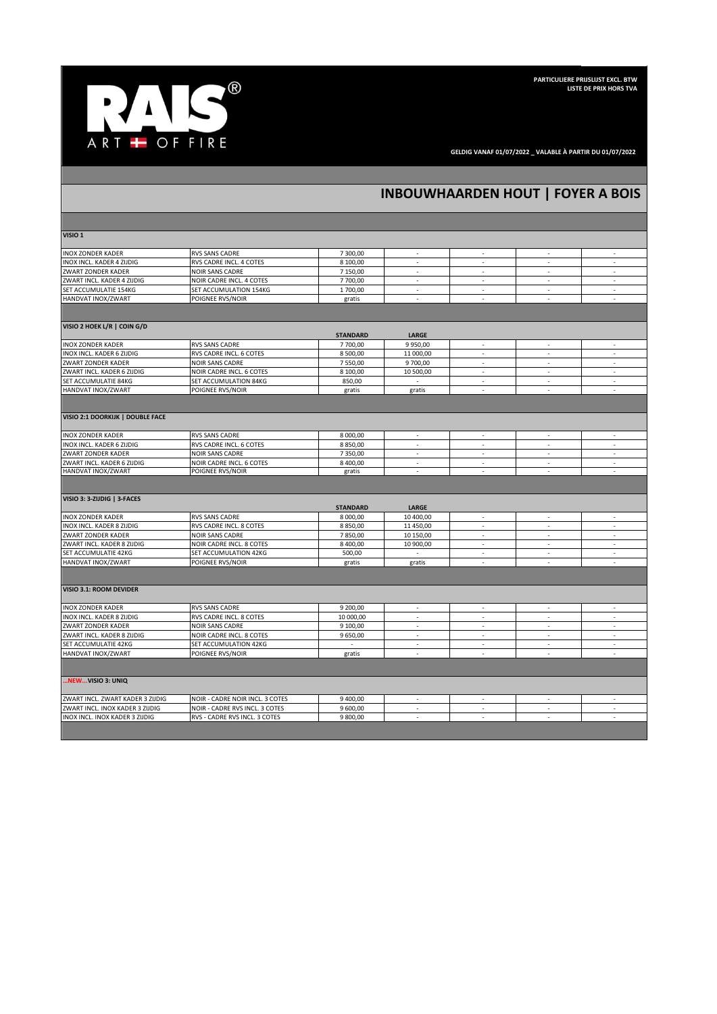

**GELDIG VANAF 01/07/2022 \_ VALABLE À PARTIR DU 01/07/2022** 

## **INBOUWHAARDEN HOUT | FOYER A BOIS**

| VISIO 1                          |                                 |                 |                          |                          |                          |                          |
|----------------------------------|---------------------------------|-----------------|--------------------------|--------------------------|--------------------------|--------------------------|
| INOX ZONDER KADER                | <b>RVS SANS CADRE</b>           | 7 300,00        |                          | $\overline{\phantom{a}}$ |                          |                          |
| INOX INCL. KADER 4 ZIJDIG        | RVS CADRE INCL. 4 COTES         | 8 100,00        | $\sim$                   | $\overline{\phantom{a}}$ | $\sim$                   | $\overline{\phantom{a}}$ |
| ZWART ZONDER KADER               | <b>NOIR SANS CADRE</b>          | 7 150,00        | ÷,                       | $\overline{\phantom{a}}$ |                          |                          |
| ZWART INCL. KADER 4 ZIJDIG       | NOIR CADRE INCL. 4 COTES        | 7 700,00        | ×.                       | $\mathcal{L}$            | ÷.                       | $\mathcal{L}$            |
| SET ACCUMULATIE 154KG            | SET ACCUMULATION 154KG          | 1700,00         | ×.                       | $\sim$                   | $\sim$                   | $\sim$                   |
| HANDVAT INOX/ZWART               | POIGNEE RVS/NOIR                | gratis          | ÷.                       | ÷                        | ÷.                       | ÷                        |
|                                  |                                 |                 |                          |                          |                          |                          |
| VISIO 2 HOEK L/R   COIN G/D      |                                 |                 |                          |                          |                          |                          |
|                                  |                                 | <b>STANDARD</b> | LARGE                    |                          |                          |                          |
| INOX ZONDER KADER                | <b>RVS SANS CADRE</b>           | 7 700,00        | 9 9 5 0,00               | $\overline{\phantom{a}}$ | $\sim$                   | $\overline{\phantom{a}}$ |
| INOX INCL. KADER 6 ZIJDIG        | RVS CADRE INCL. 6 COTES         | 8 500,00        | 11 000,00                | $\sim$                   | $\sim$                   | $\mathbb{Z}^2$           |
| ZWART ZONDER KADER               | <b>NOIR SANS CADRE</b>          | 7 550,00        | 9 700,00                 | $\overline{a}$           |                          | ÷                        |
| ZWART INCL. KADER 6 ZIJDIG       | NOIR CADRE INCL. 6 COTES        | 8 100,00        | 10 500,00                | $\overline{\phantom{a}}$ | $\overline{\phantom{a}}$ | $\overline{\phantom{a}}$ |
| SET ACCUMULATIE 84KG             | <b>SET ACCUMULATION 84KG</b>    | 850,00          | $\sim$                   | $\overline{\phantom{a}}$ | ×.                       | $\overline{\phantom{a}}$ |
| HANDVAT INOX/ZWART               | POIGNEE RVS/NOIR                | gratis          | gratis                   | $\mathcal{L}$            | ÷.                       | $\mathcal{L}$            |
|                                  |                                 |                 |                          |                          |                          |                          |
| VISIO 2:1 DOORKIJK   DOUBLE FACE |                                 |                 |                          |                          |                          |                          |
| INOX ZONDER KADER                | <b>RVS SANS CADRE</b>           | 8 000,00        | $\sim$                   | $\overline{\phantom{a}}$ |                          | $\overline{\phantom{a}}$ |
| INOX INCL. KADER 6 ZIJDIG        | RVS CADRE INCL. 6 COTES         | 8 850,00        | $\overline{\phantom{a}}$ | $\overline{\phantom{a}}$ | $\sim$                   | $\overline{\phantom{a}}$ |
| ZWART ZONDER KADER               | <b>NOIR SANS CADRE</b>          | 7 350,00        | $\sim$                   | $\sim$                   | $\sim$                   | $\sim$                   |
| ZWART INCL. KADER 6 ZIJDIG       | NOIR CADRE INCL. 6 COTES        | 8 400,00        | $\sim$                   | $\overline{\phantom{a}}$ | ٠                        | $\overline{\phantom{a}}$ |
| HANDVAT INOX/ZWART               | POIGNEE RVS/NOIR                | gratis          | ÷.                       | $\sim$                   | ÷.                       | $\sim$                   |
|                                  |                                 |                 |                          |                          |                          |                          |
|                                  |                                 |                 |                          |                          |                          |                          |
| VISIO 3: 3-ZIJDIG   3-FACES      |                                 | <b>STANDARD</b> | <b>LARGE</b>             |                          |                          |                          |
| INOX ZONDER KADER                | <b>RVS SANS CADRE</b>           | 8 000,00        | 10 400,00                | $\overline{\phantom{a}}$ | $\sim$                   | $\sim$                   |
| INOX INCL. KADER 8 ZIJDIG        | RVS CADRE INCL. 8 COTES         | 8 850,00        | 11 450,00                | $\sim$                   | $\sim$                   | $\overline{\phantom{a}}$ |
| ZWART ZONDER KADER               | <b>NOIR SANS CADRE</b>          | 7850,00         | 10 150,00                | $\mathcal{L}$            | ÷                        | $\sim$                   |
| ZWART INCL. KADER 8 ZIJDIG       | NOIR CADRE INCL. 8 COTES        | 8 400,00        | 10 900,00                | $\sim$                   | $\sim$                   | $\overline{\phantom{a}}$ |
| SET ACCUMULATIE 42KG             | SET ACCUMULATION 42KG           | 500,00          |                          | ÷.                       |                          | $\sim$                   |
| HANDVAT INOX/ZWART               | POIGNEE RVS/NOIR                | gratis          | gratis                   | ÷                        | ÷.                       | ÷                        |
|                                  |                                 |                 |                          |                          |                          |                          |
|                                  |                                 |                 |                          |                          |                          |                          |
| VISIO 3.1: ROOM DEVIDER          |                                 |                 |                          |                          |                          |                          |
| INOX ZONDER KADER                | <b>RVS SANS CADRE</b>           | 9 200,00        | $\overline{\phantom{a}}$ | $\overline{\phantom{a}}$ | $\sim$                   | $\sim$                   |
| INOX INCL. KADER 8 ZIJDIG        | RVS CADRE INCL. 8 COTES         | 10 000,00       | ×.                       | $\overline{\phantom{a}}$ | $\sim$                   | $\overline{\phantom{a}}$ |
| ZWART ZONDER KADER               | <b>NOIR SANS CADRE</b>          | 9 100,00        | ÷.                       | ÷.                       | ÷.                       | ÷.                       |
| ZWART INCL. KADER 8 ZIJDIG       | NOIR CADRE INCL. 8 COTES        | 9 650,00        | $\overline{\phantom{a}}$ | $\sim$                   | $\sim$                   | $\sim$                   |
| SET ACCUMULATIE 42KG             | SET ACCUMULATION 42KG           | $\sim$          | ÷.                       | $\sim$                   | ÷.                       | $\sim$                   |
| HANDVAT INOX/ZWART               | POIGNEE RVS/NOIR                |                 | ÷.                       | $\sim$                   | $\overline{\phantom{a}}$ | ÷.                       |
|                                  |                                 | gratis          |                          |                          |                          |                          |
|                                  |                                 |                 |                          |                          |                          |                          |
| NEWVISIO 3: UNIQ                 |                                 |                 |                          |                          |                          |                          |
| ZWART INCL. ZWART KADER 3 ZIJDIG | NOIR - CADRE NOIR INCL. 3 COTES | 9 400,00        | $\sim$                   | $\sim$                   | $\sim$                   | $\overline{\phantom{a}}$ |
| ZWART INCL. INOX KADER 3 ZIJDIG  | NOIR - CADRE RVS INCL. 3 COTES  | 9 600,00        | ÷.                       | $\epsilon$               | $\sim$                   | $\epsilon$               |
| INOX INCL. INOX KADER 3 ZIJDIG   | RVS - CADRE RVS INCL. 3 COTES   | 9 800,00        | ٠                        |                          |                          |                          |
|                                  |                                 |                 |                          |                          |                          |                          |
|                                  |                                 |                 |                          |                          |                          |                          |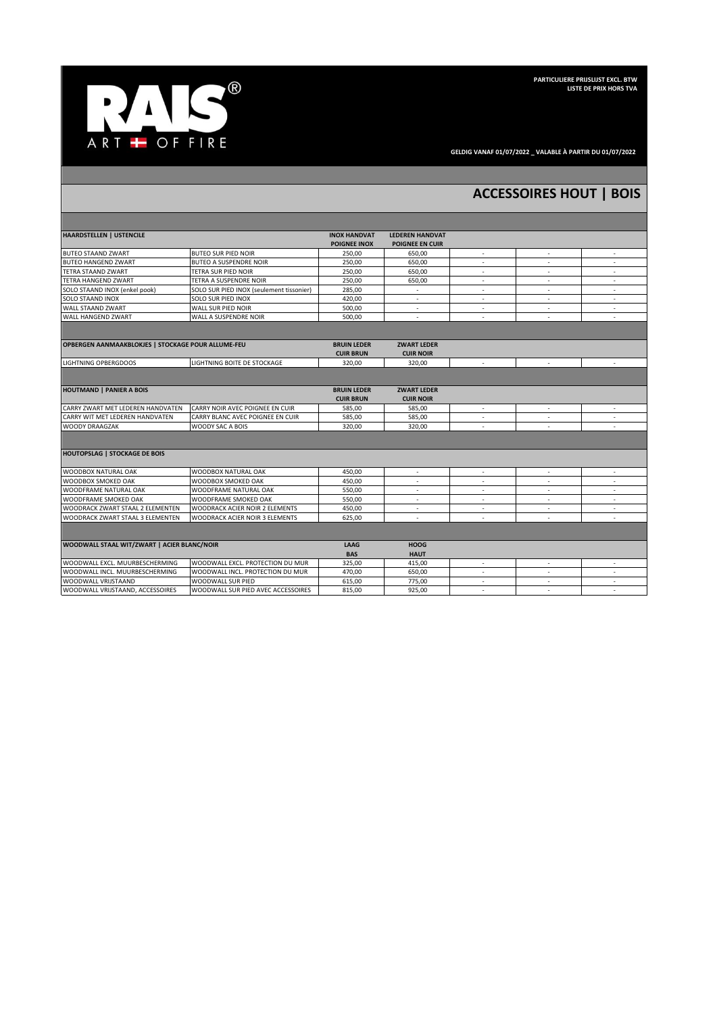

**GELDIG VANAF 01/07/2022 \_ VALABLE À PARTIR DU 01/07/2022** 

#### **ACCESSOIRES HOUT | BOIS**

| <b>HAARDSTELLEN   USTENCILE</b>                    |                                          | <b>INOX HANDVAT</b> | <b>LEDEREN HANDVAT</b>   |                          |        |                          |
|----------------------------------------------------|------------------------------------------|---------------------|--------------------------|--------------------------|--------|--------------------------|
|                                                    |                                          | <b>POIGNEE INOX</b> | <b>POIGNEE EN CUIR</b>   |                          |        |                          |
| <b>BUTEO STAAND ZWART</b>                          | <b>BUTEO SUR PIED NOIR</b>               | 250.00              | 650.00                   | $\overline{\phantom{a}}$ | ×.     | ÷.                       |
| <b>BUTEO HANGEND ZWART</b>                         | <b>BUTEO A SUSPENDRE NOIR</b>            | 250.00              | 650.00                   |                          |        |                          |
| TETRA STAAND ZWART                                 | TETRA SUR PIED NOIR                      | 250,00              | 650,00                   | $\overline{\phantom{a}}$ | ٠      | ٠                        |
| <b>TETRA HANGEND ZWART</b>                         | TETRA A SUSPENDRE NOIR                   | 250,00              | 650,00                   |                          | ÷.     | ÷.                       |
| SOLO STAAND INOX (enkel pook)                      | SOLO SUR PIED INOX (seulement tissonier) | 285,00              |                          |                          |        |                          |
| SOLO STAAND INOX                                   | <b>SOLO SUR PIED INOX</b>                | 420.00              | ÷.                       | $\overline{\phantom{a}}$ | ×.     | $\overline{\phantom{a}}$ |
| WALL STAAND ZWART                                  | WALL SUR PIED NOIR                       | 500,00              | ÷.                       |                          | ×.     | $\overline{\phantom{a}}$ |
| WALL HANGEND ZWART                                 | WALL A SUSPENDRE NOIR                    | 500.00              | $\sim$                   | $\overline{\phantom{a}}$ | ×.     | ٠                        |
|                                                    |                                          |                     |                          |                          |        |                          |
| OPBERGEN AANMAAKBLOKJES   STOCKAGE POUR ALLUME-FEU |                                          | <b>BRUIN LEDER</b>  | <b>ZWART LEDER</b>       |                          |        |                          |
|                                                    |                                          | <b>CUIR BRUN</b>    | <b>CUIR NOIR</b>         |                          |        |                          |
| <b>LIGHTNING OPBERGDOOS</b>                        | LIGHTNING BOITE DE STOCKAGE              | 320.00              | 320.00                   | ٠                        | $\sim$ | $\sim$                   |
|                                                    |                                          |                     |                          |                          |        |                          |
| <b>HOUTMAND   PANIER A BOIS</b>                    |                                          | <b>BRUIN LEDER</b>  | <b>ZWART LEDER</b>       |                          |        |                          |
|                                                    |                                          | <b>CUIR BRUN</b>    | <b>CUIR NOIR</b>         |                          |        |                          |
| CARRY ZWART MET LEDEREN HANDVATEN                  | CARRY NOIR AVEC POIGNEE EN CUIR          | 585,00              | 585,00                   |                          | $\sim$ | $\overline{\phantom{a}}$ |
| CARRY WIT MET LEDEREN HANDVATEN                    | CARRY BLANC AVEC POIGNEE EN CUIR         | 585,00              | 585,00                   |                          | ٠      |                          |
| WOODY DRAAGZAK                                     | WOODY SAC A BOIS                         | 320.00              | 320.00                   |                          |        |                          |
|                                                    |                                          |                     |                          |                          |        |                          |
| <b>HOUTOPSLAG   STOCKAGE DE BOIS</b>               |                                          |                     |                          |                          |        |                          |
| WOODBOX NATURAL OAK                                | WOODBOX NATURAL OAK                      | 450,00              | $\overline{\phantom{a}}$ | $\overline{\phantom{a}}$ | $\sim$ | $\overline{\phantom{a}}$ |
| WOODBOX SMOKED OAK                                 | WOODBOX SMOKED OAK                       | 450,00              | ÷.                       | ÷                        | ×.     | ÷.                       |
| WOODFRAME NATURAL OAK                              | WOODFRAME NATURAL OAK                    | 550,00              | ٠                        |                          | ٠      |                          |
| WOODFRAME SMOKED OAK                               | WOODFRAME SMOKED OAK                     | 550,00              | ÷.                       | ÷.                       | ٠      | $\overline{\phantom{a}}$ |
| WOODRACK ZWART STAAL 2 ELEMENTEN                   | <b>WOODRACK ACIER NOIR 2 ELEMENTS</b>    | 450,00              |                          |                          |        |                          |
| WOODRACK ZWART STAAL 3 ELEMENTEN                   | WOODRACK ACIER NOIR 3 ELEMENTS           | 625.00              |                          |                          |        |                          |
|                                                    |                                          |                     |                          |                          |        |                          |
| WOODWALL STAAL WIT/ZWART   ACIER BLANC/NOIR        |                                          | LAAG                | <b>HOOG</b>              |                          |        |                          |
|                                                    |                                          | <b>BAS</b>          | <b>HAUT</b>              |                          |        |                          |
| WOODWALL EXCL. MUURBESCHERMING                     | WOODWALL EXCL. PROTECTION DU MUR         | 325,00              | 415,00                   |                          | ٠      | $\overline{\phantom{a}}$ |
| WOODWALL INCL. MUURBESCHERMING                     | WOODWALL INCL. PROTECTION DU MUR         | 470,00              | 650,00                   |                          | ٠      |                          |
| WOODWALL VRIJSTAAND                                | <b>WOODWALL SUR PIED</b>                 | 615,00              | 775,00                   |                          | ٠      |                          |
| WOODWALL VRIJSTAAND, ACCESSOIRES                   | WOODWALL SUR PIED AVEC ACCESSOIRES       | 815,00              | 925,00                   | $\overline{\phantom{a}}$ | ×.     | $\overline{\phantom{a}}$ |
|                                                    |                                          |                     |                          |                          |        |                          |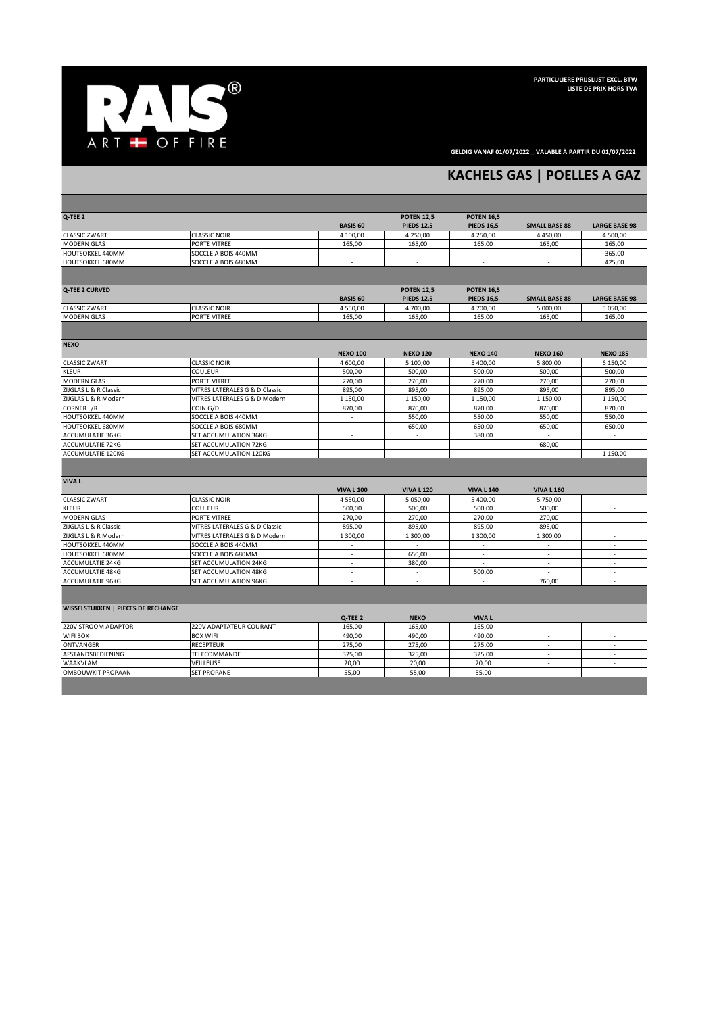

**GELDIG VANAF 01/07/2022 \_ VALABLE À PARTIR DU 01/07/2022** 

## **KACHELS GAS | POELLES A GAZ**

| Q-TEE 2                                   |                                |                                    | <b>POTEN 12,5</b> | <b>POTEN 16,5</b>        |                          |                          |
|-------------------------------------------|--------------------------------|------------------------------------|-------------------|--------------------------|--------------------------|--------------------------|
|                                           |                                | <b>BASIS 60</b>                    | <b>PIEDS 12,5</b> | <b>PIEDS 16,5</b>        | <b>SMALL BASE 88</b>     | <b>LARGE BASE 98</b>     |
| <b>CLASSIC ZWART</b>                      | <b>CLASSIC NOIR</b>            | 4 100,00                           | 4 250,00          | 4 250,00                 | 4 4 5 0,00               | 4 500,00                 |
| MODERN GLAS                               | PORTE VITREE                   | 165,00                             | 165,00            | 165,00                   | 165,00                   | 165,00                   |
| HOUTSOKKEL 440MM                          | SOCCLE A BOIS 440MM            |                                    |                   |                          |                          | 365,00                   |
| HOUTSOKKEL 680MM                          | SOCCLE A BOIS 680MM            | ÷.                                 | ÷.                | ÷                        | ÷.                       | 425,00                   |
|                                           |                                |                                    |                   |                          |                          |                          |
| <b>Q-TEE 2 CURVED</b>                     |                                |                                    | <b>POTEN 12,5</b> | <b>POTEN 16,5</b>        |                          |                          |
|                                           |                                | <b>BASIS 60</b>                    | <b>PIEDS 12,5</b> | <b>PIEDS 16,5</b>        | <b>SMALL BASE 88</b>     | <b>LARGE BASE 98</b>     |
| <b>CLASSIC ZWART</b>                      | <b>CLASSIC NOIR</b>            | 4 550,00                           | 4 700,00          | 4 700,00                 | 5 000,00                 | 5 050,00                 |
| MODERN GLAS                               | PORTE VITREE                   | 165,00                             | 165,00            | 165,00                   | 165,00                   | 165,00                   |
|                                           |                                |                                    |                   |                          |                          |                          |
| <b>NEXO</b>                               |                                |                                    |                   |                          |                          |                          |
|                                           |                                | <b>NEXO 100</b>                    | <b>NEXO 120</b>   | <b>NEXO 140</b>          | <b>NEXO 160</b>          | <b>NEXO 185</b>          |
| <b>CLASSIC ZWART</b>                      | <b>CLASSIC NOIR</b>            | 4 600,00                           | 5 100,00          | 5 400,00                 | 5 800,00                 | 6 150,00                 |
| <b>KLEUR</b>                              | COULEUR                        | 500,00                             | 500,00            | 500,00                   | 500,00                   | 500,00                   |
| MODERN GLAS                               | PORTE VITREE                   | 270,00                             | 270,00            | 270,00                   | 270,00                   | 270,00                   |
| ZIJGLAS L & R Classic                     | VITRES LATERALES G & D Classic | 895,00                             | 895,00            | 895,00                   | 895,00                   | 895,00                   |
| ZIJGLAS L & R Modern                      | VITRES LATERALES G & D Modern  | 1 150,00                           | 1 150,00          | 1 150,00                 | 1 150,00                 | 1 150,00                 |
| <b>CORNER L/R</b>                         | COIN G/D                       | 870,00                             | 870,00            | 870,00                   | 870,00                   | 870,00                   |
| HOUTSOKKEL 440MM                          | SOCCLE A BOIS 440MM            | $\overline{\phantom{a}}$           | 550,00            | 550.00                   | 550.00                   | 550,00                   |
| HOUTSOKKEL 680MM                          | SOCCLE A BOIS 680MM            | $\overline{\phantom{a}}$           | 650.00            | 650.00                   | 650.00                   | 650.00                   |
| ACCUMULATIE 36KG                          | SET ACCUMULATION 36KG          | $\overline{\phantom{a}}$           | $\sim$            | 380,00                   | $\sim$                   | $\sim$                   |
| ACCUMULATIE 72KG                          | SET ACCUMULATION 72KG          | $\overline{\phantom{a}}$<br>$\sim$ | ÷.                | ä,<br>÷                  | 680,00                   |                          |
| ACCUMULATIE 120KG                         | SET ACCUMULATION 120KG         |                                    |                   |                          |                          | 1 150,00                 |
|                                           |                                |                                    |                   |                          |                          |                          |
| <b>VIVAL</b>                              |                                |                                    |                   |                          |                          |                          |
|                                           |                                | <b>VIVA L 100</b>                  | <b>VIVA L120</b>  | <b>VIVA L 140</b>        | <b>VIVA L 160</b>        |                          |
| <b>CLASSIC ZWART</b>                      | <b>CLASSIC NOIR</b>            | 4 550,00                           | 5 050,00          | 5 400,00                 | 5750,00                  |                          |
| <b>KLEUR</b>                              | COULEUR                        | 500,00                             | 500,00            | 500,00                   | 500,00                   | $\sim$                   |
| <b>MODERN GLAS</b>                        | <b>PORTE VITREE</b>            | 270.00                             | 270.00            | 270.00                   | 270.00                   |                          |
| ZIJGLAS L & R Classic                     | VITRES LATERALES G & D Classic | 895,00                             | 895,00            | 895,00                   | 895,00                   | $\overline{\phantom{a}}$ |
| ZIJGLAS L & R Modern                      | VITRES LATERALES G & D Modern  | 1 300,00                           | 1 300,00          | 1 300,00                 | 1 300,00                 | $\sim$                   |
| HOUTSOKKEL 440MM                          | SOCCLE A BOIS 440MM            | $\sim$                             | $\sim$            | $\sim$                   | $\sim$                   | $\sim$                   |
| HOUTSOKKEL 680MM                          | SOCCLE A BOIS 680MM            | ٠                                  | 650,00            | $\overline{\phantom{a}}$ | $\overline{\phantom{a}}$ | $\overline{\phantom{a}}$ |
| ACCUMULATIE 24KG                          | SET ACCUMULATION 24KG          | $\sim$                             | 380,00            | $\sim$                   | $\sim$                   | $\sim$                   |
| ACCUMULATIE 48KG                          | SET ACCUMULATION 48KG          | ٠                                  | ×.                | 500,00                   | ×.                       | $\overline{\phantom{a}}$ |
| <b>ACCUMULATIE 96KG</b>                   | SET ACCUMULATION 96KG          | $\sim$                             | $\sim$            | $\overline{a}$           | 760,00                   | $\sim$                   |
|                                           |                                |                                    |                   |                          |                          |                          |
| <b>WISSELSTUKKEN   PIECES DE RECHANGE</b> |                                |                                    |                   |                          |                          |                          |
|                                           |                                | Q-TEE 2                            | <b>NEXO</b>       | <b>VIVAL</b>             |                          |                          |
| <b>220V STROOM ADAPTOR</b>                | <b>220V ADAPTATEUR COURANT</b> | 165,00                             | 165,00            | 165.00                   | $\sim$                   | $\sim$                   |
| WIFI BOX                                  | <b>BOX WIFI</b>                | 490,00                             | 490,00            | 490,00                   | ×.                       | $\overline{\phantom{a}}$ |
| ONTVANGER                                 | <b>RECEPTEUR</b>               | 275,00                             | 275,00            | 275,00                   | ×.                       | $\overline{\phantom{a}}$ |
| AFSTANDSBEDIENING                         | TELECOMMANDE                   | 325,00                             | 325,00            | 325,00                   | $\sim$                   | $\overline{\phantom{a}}$ |
| WAAKVLAM                                  | VEILLEUSE                      | 20,00                              | 20,00             | 20,00                    | ٠                        | $\overline{\phantom{a}}$ |
| <b>OMBOUWKIT PROPAAN</b>                  | <b>SET PROPANE</b>             | 55,00                              | 55,00             | 55,00                    | ×.                       | ٠                        |
|                                           |                                |                                    |                   |                          |                          |                          |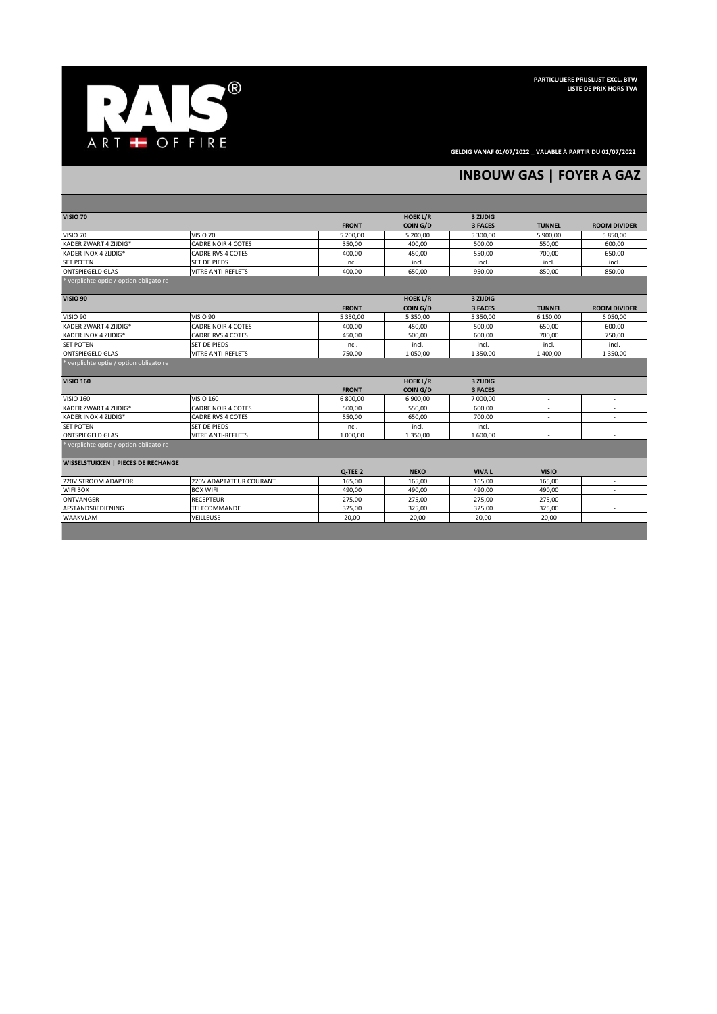

**GELDIG VANAF 01/07/2022 \_ VALABLE À PARTIR DU 01/07/2022** 

### **INBOUW GAS | FOYER A GAZ**

| <b>VISIO 70</b>                           |                           |              | <b>HOEK L/R</b> | 3 ZUDIG        |               |                          |
|-------------------------------------------|---------------------------|--------------|-----------------|----------------|---------------|--------------------------|
|                                           |                           | <b>FRONT</b> | COIN G/D        | <b>3 FACES</b> | <b>TUNNEL</b> | <b>ROOM DIVIDER</b>      |
| <b>VISIO 70</b>                           | <b>VISIO 70</b>           | 5 200,00     | 5 200,00        | 5 300,00       | 5 900,00      | 5 850.00                 |
| KADER ZWART 4 ZIJDIG*                     | <b>CADRE NOIR 4 COTES</b> | 350.00       | 400,00          | 500.00         | 550,00        | 600.00                   |
| KADER INOX 4 ZIJDIG*                      | <b>CADRE RVS 4 COTES</b>  | 400,00       | 450,00          | 550.00         | 700,00        | 650,00                   |
| <b>SET POTEN</b>                          | <b>SET DE PIEDS</b>       | incl.        | incl.           | incl.          | incl.         | incl.                    |
| <b>ONTSPIEGELD GLAS</b>                   | <b>VITRE ANTI-REFLETS</b> | 400,00       | 650,00          | 950.00         | 850,00        | 850.00                   |
| * verplichte optie / option obligatoire   |                           |              |                 |                |               |                          |
| <b>VISIO 90</b>                           |                           |              | <b>HOEK L/R</b> | 3 ZIJDIG       |               |                          |
|                                           |                           | <b>FRONT</b> | COIN G/D        | <b>3 FACES</b> | <b>TUNNEL</b> | <b>ROOM DIVIDER</b>      |
| <b>VISIO 90</b>                           | <b>VISIO 90</b>           | 5 350.00     | 5 350,00        | 5 350.00       | 6 150.00      | 6 050.00                 |
| KADER ZWART 4 ZIJDIG*                     | <b>CADRE NOIR 4 COTES</b> | 400.00       | 450,00          | 500.00         | 650.00        | 600.00                   |
| KADER INOX 4 ZUDIG*                       | <b>CADRE RVS 4 COTES</b>  | 450,00       | 500,00          | 600,00         | 700,00        | 750,00                   |
| <b>SET POTEN</b>                          | <b>SET DE PIEDS</b>       | incl.        | incl.           | incl.          | incl.         | incl.                    |
| <b>ONTSPIEGELD GLAS</b>                   | <b>VITRE ANTI-REFLETS</b> | 750,00       | 1 050,00        | 1 350,00       | 1 400,00      | 1 3 5 0 , 0 0            |
| * verplichte optie / option obligatoire   |                           |              |                 |                |               |                          |
| <b>VISIO 160</b>                          |                           |              | <b>HOEK L/R</b> | 3 ZUDIG        |               |                          |
|                                           |                           | <b>FRONT</b> | COIN G/D        | 3 FACES        |               |                          |
| <b>VISIO 160</b>                          | <b>VISIO 160</b>          | 6 800.00     | 6 900,00        | 7 000.00       |               |                          |
| KADER ZWART 4 ZIJDIG*                     | <b>CADRE NOIR 4 COTES</b> | 500,00       | 550,00          | 600,00         |               | ٠                        |
| KADER INOX 4 ZUDIG*                       | <b>CADRE RVS 4 COTES</b>  | 550.00       | 650,00          | 700.00         | ٠             | $\overline{a}$           |
| <b>SET POTEN</b>                          | <b>SET DE PIEDS</b>       | incl.        | incl.           | incl.          |               | $\overline{\phantom{a}}$ |
| <b>ONTSPIEGELD GLAS</b>                   | <b>VITRE ANTI-REFLETS</b> | 1 000,00     | 1 350,00        | 1 600,00       | ٠             | $\overline{\phantom{a}}$ |
| * verplichte optie / option obligatoire   |                           |              |                 |                |               |                          |
| <b>WISSELSTUKKEN   PIECES DE RECHANGE</b> |                           |              |                 |                |               |                          |
|                                           |                           | Q-TEE 2      | <b>NEXO</b>     | <b>VIVAL</b>   | <b>VISIO</b>  |                          |
| 220V STROOM ADAPTOR                       | 220V ADAPTATEUR COURANT   | 165.00       | 165.00          | 165.00         | 165.00        | $\overline{\phantom{a}}$ |
| WIFI BOX                                  | <b>BOX WIFI</b>           | 490,00       | 490,00          | 490.00         | 490,00        | $\overline{\phantom{a}}$ |
| ONTVANGER                                 | <b>RECEPTEUR</b>          | 275,00       | 275,00          | 275.00         | 275,00        |                          |
| AFSTANDSBEDIENING                         | TELECOMMANDE              | 325,00       | 325,00          | 325,00         | 325,00        |                          |
| WAAKVLAM                                  | VEILLEUSE                 | 20.00        | 20.00           | 20.00          | 20.00         |                          |